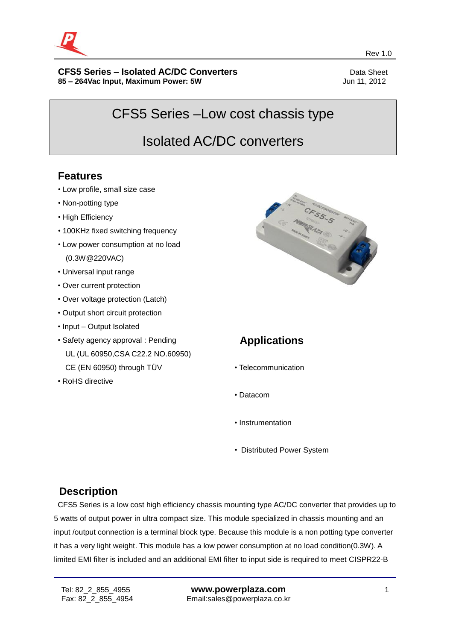

#### **CFS5** Series – Isolated AC/DC Converters **Data Sheet** Data Sheet **85 – 264Vac Input, Maximum Power: 5W** Jun 11, 2012

CFS5 Series –Low cost chassis type

Rev 1.0 and the contract of the contract of the contract of the contract of the contract of the contract of the contract of the contract of the contract of the contract of the contract of the contract of the contract of th

# Isolated AC/DC converters

## **Features**

- Low profile, small size case
- Non-potting type
- High Efficiency
- 100KHz fixed switching frequency
- Low power consumption at no load (0.3W@220VAC)
- Universal input range
- Over current protection
- Over voltage protection (Latch)
- Output short circuit protection
- Input Output Isolated
- Safety agency approval : Pending UL (UL 60950,CSA C22.2 NO.60950) CE (EN 60950) through TÜV
- RoHS directive



## **Applications**

- Telecommunication
- Datacom
- Instrumentation
- Distributed Power System

## **Description**

CFS5 Series is a low cost high efficiency chassis mounting type AC/DC converter that provides up to 5 watts of output power in ultra compact size. This module specialized in chassis mounting and an input /output connection is a terminal block type. Because this module is a non potting type converter it has a very light weight. This module has a low power consumption at no load condition(0.3W). A limited EMI filter is included and an additional EMI filter to input side is required to meet CISPR22-B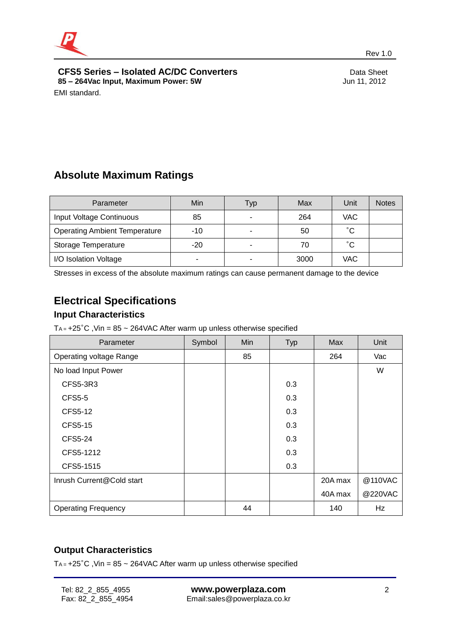

**CFS5 Series – Isolated AC/DC Converters**<br>
85 – 264Vac Input, Maximum Power: 5W<br>
Jun 11, 2012 **85 - 264Vac Input, Maximum Power: 5W** EMI standard.

## **Absolute Maximum Ratings**

| Parameter                            | Min   | Typ | Max  | Unit         | <b>Notes</b> |
|--------------------------------------|-------|-----|------|--------------|--------------|
| Input Voltage Continuous             | 85    | ۰   | 264  | VAC.         |              |
| <b>Operating Ambient Temperature</b> | $-10$ | ۰   | 50   | $^{\circ}$ C |              |
| Storage Temperature                  | $-20$ | ۰   | 70   | °С           |              |
| I/O Isolation Voltage                |       | ۰   | 3000 | VAC          |              |

Stresses in excess of the absolute maximum ratings can cause permanent damage to the device

## **Electrical Specifications**

#### **Input Characteristics**

T<sub>A =</sub>  $+25^{\circ}$ C, Vin = 85 ~ 264VAC After warm up unless otherwise specified

| Parameter                  | Symbol | Min | Typ | Max     | Unit    |
|----------------------------|--------|-----|-----|---------|---------|
| Operating voltage Range    |        | 85  |     | 264     | Vac     |
| No load Input Power        |        |     |     |         | W       |
| CFS5-3R3                   |        |     | 0.3 |         |         |
| <b>CFS5-5</b>              |        |     | 0.3 |         |         |
| <b>CFS5-12</b>             |        |     | 0.3 |         |         |
| <b>CFS5-15</b>             |        |     | 0.3 |         |         |
| <b>CFS5-24</b>             |        |     | 0.3 |         |         |
| CFS5-1212                  |        |     | 0.3 |         |         |
| CFS5-1515                  |        |     | 0.3 |         |         |
| Inrush Current@Cold start  |        |     |     | 20A max | @110VAC |
|                            |        |     |     | 40A max | @220VAC |
| <b>Operating Frequency</b> |        | 44  |     | 140     | Hz      |

#### **Output Characteristics**

T<sub>A =</sub>  $+25^{\circ}$ C, Vin = 85 ~ 264VAC After warm up unless otherwise specified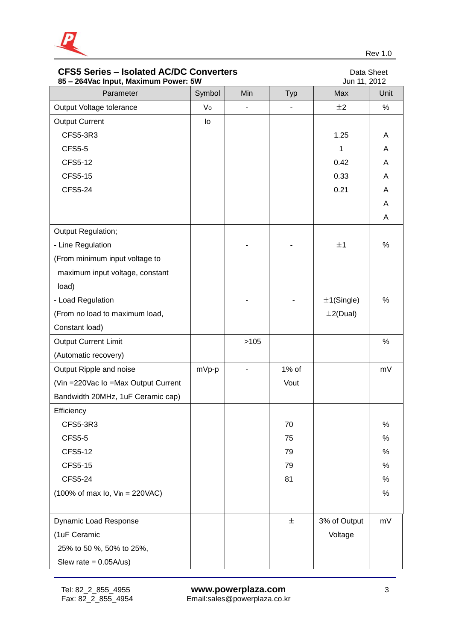

| <b>CFS5 Series - Isolated AC/DC Converters</b><br>85 - 264 Vac Input, Maximum Power: 5W | Data Sheet<br>Jun 11, 2012 |                |                |                |      |
|-----------------------------------------------------------------------------------------|----------------------------|----------------|----------------|----------------|------|
| Parameter                                                                               | Symbol                     | Min            | <b>Typ</b>     | Max            | Unit |
| Output Voltage tolerance                                                                | Vo                         | $\blacksquare$ | $\blacksquare$ | ±2             | %    |
| <b>Output Current</b>                                                                   | lo                         |                |                |                |      |
| CFS5-3R3                                                                                |                            |                |                | 1.25           | A    |
| <b>CFS5-5</b>                                                                           |                            |                |                | 1              | A    |
| <b>CFS5-12</b>                                                                          |                            |                |                | 0.42           | A    |
| <b>CFS5-15</b>                                                                          |                            |                |                | 0.33           | A    |
| <b>CFS5-24</b>                                                                          |                            |                |                | 0.21           | A    |
|                                                                                         |                            |                |                |                | A    |
|                                                                                         |                            |                |                |                | A    |
| Output Regulation;                                                                      |                            |                |                |                |      |
| - Line Regulation                                                                       |                            |                |                | ±1             | %    |
| (From minimum input voltage to                                                          |                            |                |                |                |      |
| maximum input voltage, constant                                                         |                            |                |                |                |      |
| load)                                                                                   |                            |                |                |                |      |
| - Load Regulation                                                                       |                            |                |                | $±1$ (Single)  | %    |
| (From no load to maximum load,                                                          |                            |                |                | $\pm 2$ (Dual) |      |
| Constant load)                                                                          |                            |                |                |                |      |
| <b>Output Current Limit</b>                                                             |                            | >105           |                |                | $\%$ |
| (Automatic recovery)                                                                    |                            |                |                |                |      |
| Output Ripple and noise                                                                 | mVp-p                      |                | 1% of          |                | mV   |
| (Vin = 220 Vac Io = Max Output Current                                                  |                            |                | Vout           |                |      |
| Bandwidth 20MHz, 1uF Ceramic cap)                                                       |                            |                |                |                |      |
| Efficiency                                                                              |                            |                |                |                |      |
| CFS5-3R3                                                                                |                            |                | 70             |                | %    |
| <b>CFS5-5</b>                                                                           |                            |                | 75             |                | %    |
| <b>CFS5-12</b>                                                                          |                            |                | 79             |                | %    |
| <b>CFS5-15</b>                                                                          |                            |                | 79             |                | %    |
| <b>CFS5-24</b>                                                                          |                            |                | 81             |                | %    |
| $(100\% \text{ of max } I_0, V_{in} = 220\text{VAC})$                                   |                            |                |                |                | %    |
| Dynamic Load Response                                                                   |                            |                | 土              | 3% of Output   | mV   |
| (1uF Ceramic                                                                            |                            |                |                | Voltage        |      |
| 25% to 50 %, 50% to 25%,                                                                |                            |                |                |                |      |
| Slew rate = $0.05A/us$ )                                                                |                            |                |                |                |      |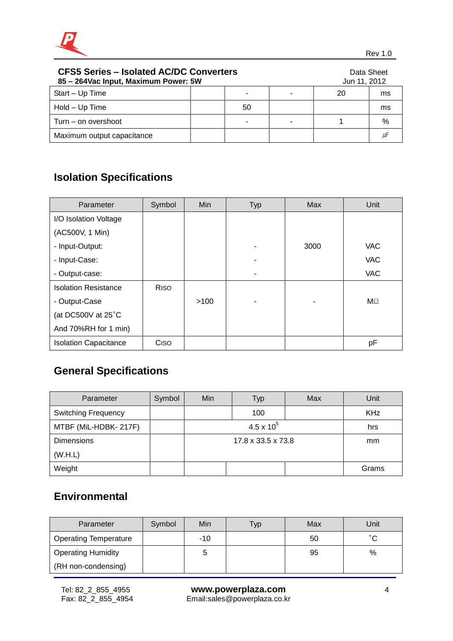

| <b>CFS5 Series - Isolated AC/DC Converters</b><br>85 – 264 Vac Input, Maximum Power: 5W |  |    |  | Data Sheet<br>Jun 11, 2012 |      |
|-----------------------------------------------------------------------------------------|--|----|--|----------------------------|------|
| Start - Up Time                                                                         |  | ٠  |  | 20                         | ms   |
| Hold – Up Time                                                                          |  | 50 |  |                            | ms   |
| Turn – on overshoot                                                                     |  | ۰  |  |                            | $\%$ |
| Maximum output capacitance                                                              |  |    |  |                            | μF   |

# **Isolation Specifications**

| Parameter                    | Symbol      | Min  | <b>Typ</b> | Max  | Unit       |
|------------------------------|-------------|------|------------|------|------------|
| I/O Isolation Voltage        |             |      |            |      |            |
| (AC500V, 1 Min)              |             |      |            |      |            |
| - Input-Output:              |             |      |            | 3000 | <b>VAC</b> |
| - Input-Case:                |             |      |            |      | <b>VAC</b> |
| - Output-case:               |             |      |            |      | <b>VAC</b> |
| <b>Isolation Resistance</b>  | <b>RISO</b> |      |            |      |            |
| - Output-Case                |             | >100 |            |      | $M\Omega$  |
| (at DC500V at 25°C           |             |      |            |      |            |
| And 70%RH for 1 min)         |             |      |            |      |            |
| <b>Isolation Capacitance</b> | Ciso        |      |            |      | pF         |

# **General Specifications**

| Parameter                  | Symbol | Min                 | Typ | Max | Unit       |
|----------------------------|--------|---------------------|-----|-----|------------|
| <b>Switching Frequency</b> |        |                     | 100 |     | <b>KHz</b> |
| MTBF (MiL-HDBK- 217F)      |        | $4.5 \times 10^{5}$ |     |     | hrs        |
| <b>Dimensions</b>          |        | 17.8 x 33.5 x 73.8  |     |     | mm         |
| (W.H.L)                    |        |                     |     |     |            |
| Weight                     |        |                     |     |     | Grams      |

## **Environmental**

| Parameter                    | Symbol | Min   | Гур | Max | Unit         |
|------------------------------|--------|-------|-----|-----|--------------|
| <b>Operating Temperature</b> |        | $-10$ |     | 50  | $^{\circ}$ C |
| <b>Operating Humidity</b>    |        | 5     |     | 95  | $\%$         |
| (RH non-condensing)          |        |       |     |     |              |
|                              |        |       |     |     |              |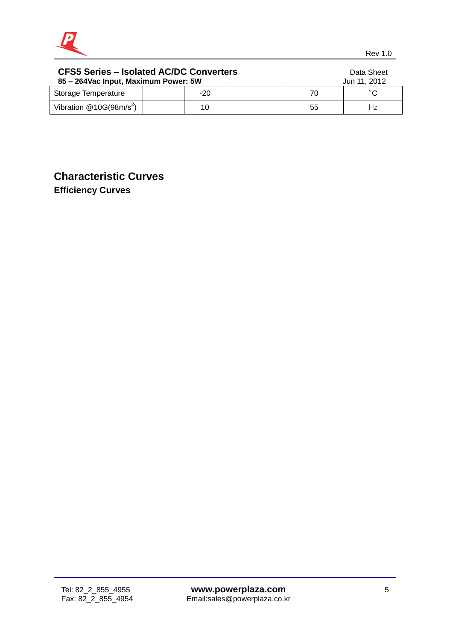

| <b>CFS5 Series - Isolated AC/DC Converters</b><br>85 - 264 Vac Input, Maximum Power: 5W |  |       |  |    | Data Sheet<br>Jun 11, 2012 |
|-----------------------------------------------------------------------------------------|--|-------|--|----|----------------------------|
| Storage Temperature                                                                     |  | $-20$ |  | 70 | °С                         |
| Vibration $@10G(98m/s^2)$                                                               |  | 10    |  | 55 | Hz                         |

## **Characteristic Curves Efficiency Curves**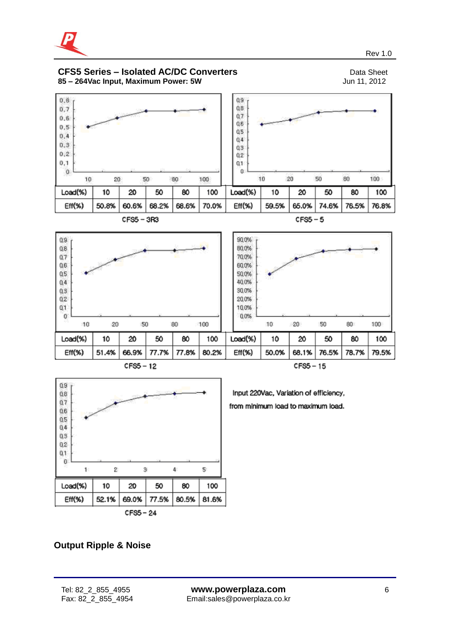

#### **CFS5 Series – Isolated AC/DC Converters**<br>
85 – 264 Vac Input, Maximum Power: 5W<br>
Jun 11, 2012 **85 - 264Vac Input, Maximum Power: 5W**







Input 220Vac, Variation of efficiency, from minimum load to maximum load.

#### **Output Ripple & Noise**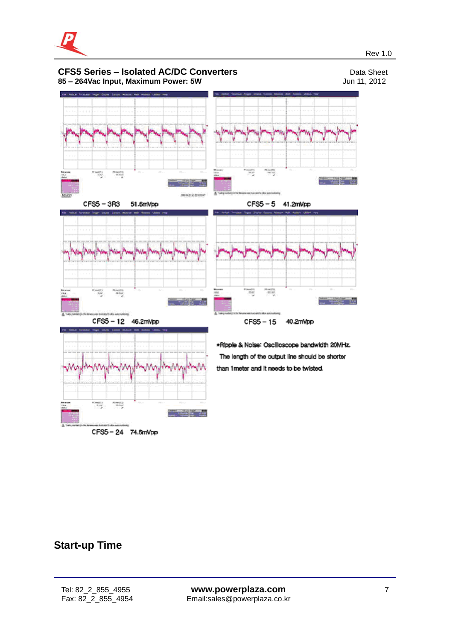



## **Start-up Time**

j

CFS5-24 74.6mVpp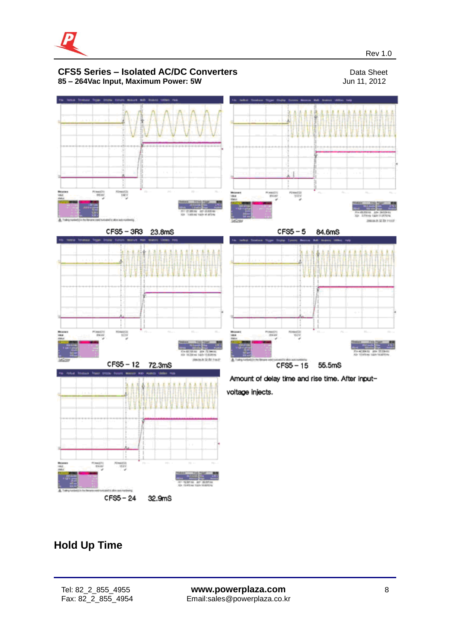



## **Hold Up Time**

 $CFS5 - 24$ 

32.9mS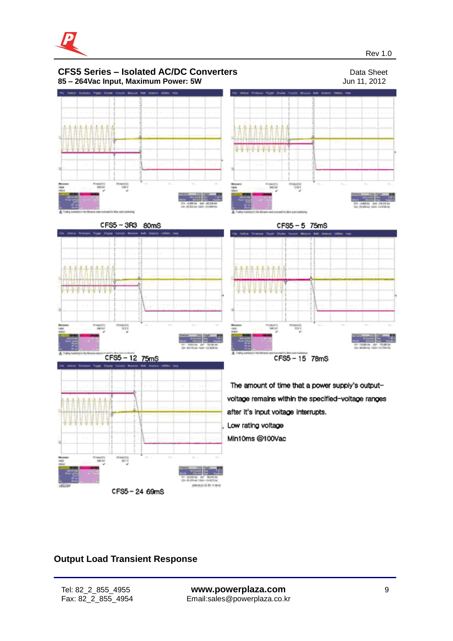

Rev 1.0 and the contract of the contract of the contract of the contract of the contract of the contract of the contract of the contract of the contract of the contract of the contract of the contract of the contract of th



#### **Output Load Transient Response**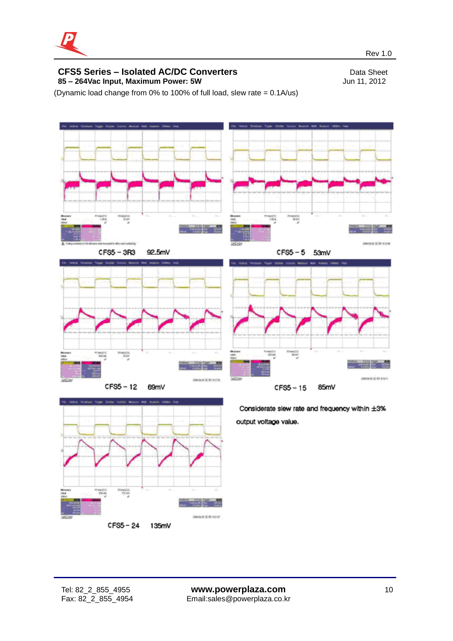

(Dynamic load change from 0% to 100% of full load, slew rate = 0.1A/us)





 $CFS5 - 24$ 135mV

Considerate slew rate and frequency within ±3% output voltage value.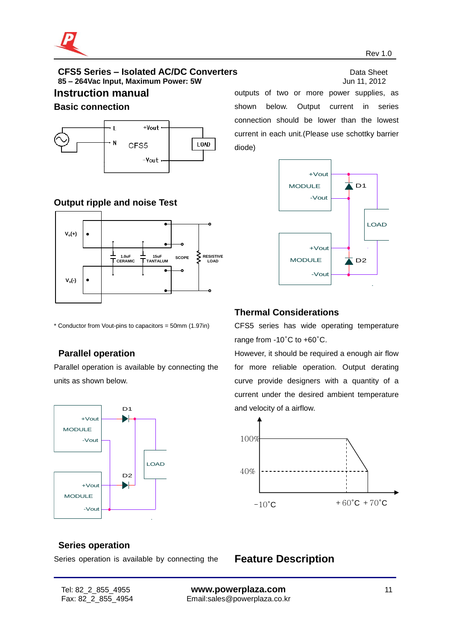

#### **CFS5** Series – Isolated AC/DC Converters **Data Sheet** Data Sheet **85 – 264Vac Input, Maximum Power: 5W** Jun 11, 2012

#### **Instruction manual**

#### **Basic connection**



#### **Output ripple and noise Test**



\* Conductor from Vout-pins to capacitors = 50mm (1.97in)

## **Parallel operation**

Parallel operation is available by connecting the units as shown below.



outputs of two or more power supplies, as shown below. Output current in series connection should be lower than the lowest current in each unit.(Please use schottky barrier diode)



#### **Thermal Considerations**

CFS5 series has wide operating temperature range from -10°C to +60°C.

However, it should be required a enough air flow for more reliable operation. Output derating curve provide designers with a quantity of a current under the desired ambient temperature and velocity of a airflow.



#### **Series operation**

Series operation is available by connecting the

**Feature Description**

j

Tel: 82\_2\_855\_4955 **www.powerplaza.com** 11 Fax: 82\_2\_855\_4954 Email:sales@powerplaza.co.kr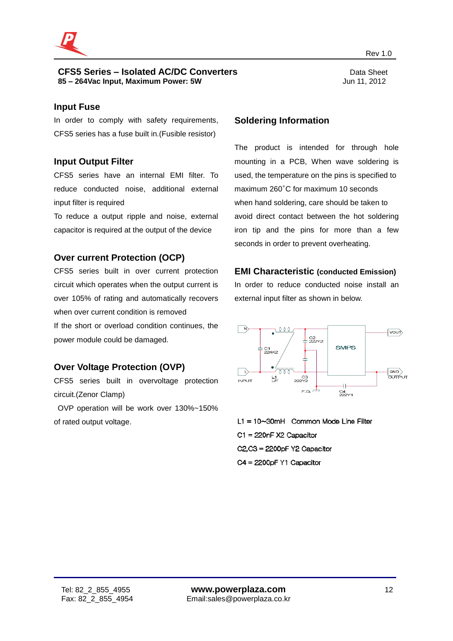

#### **CFS5** Series – Isolated AC/DC Converters **Data Sheet** Data Sheet **85 – 264Vac Input, Maximum Power: 5W** Jun 11, 2012

#### **Input Fuse**

In order to comply with safety requirements, CFS5 series has a fuse built in.(Fusible resistor)

#### **Input Output Filter**

CFS5 series have an internal EMI filter. To reduce conducted noise, additional external input filter is required

To reduce a output ripple and noise, external capacitor is required at the output of the device

#### **Over current Protection (OCP)**

CFS5 series built in over current protection circuit which operates when the output current is over 105% of rating and automatically recovers when over current condition is removed If the short or overload condition continues, the power module could be damaged.

#### **Over Voltage Protection (OVP)**

CFS5 series built in overvoltage protection circuit.(Zenor Clamp)

OVP operation will be work over 130%~150% of rated output voltage.

#### **Soldering Information**

The product is intended for through hole mounting in a PCB, When wave soldering is used, the temperature on the pins is specified to maximum 260°C for maximum 10 seconds when hand soldering, care should be taken to avoid direct contact between the hot soldering iron tip and the pins for more than a few seconds in order to prevent overheating.

#### **EMI Characteristic (conducted Emission)**

In order to reduce conducted noise install an external input filter as shown in below.



 $L1 = 10 \sim 30$ mH Common Mode Line Filter C1 = 220nF X2 Capacitor  $C2.C3 = 2200pF Y2$  Capacitor  $C4 = 2200pF Y1$  Capacitor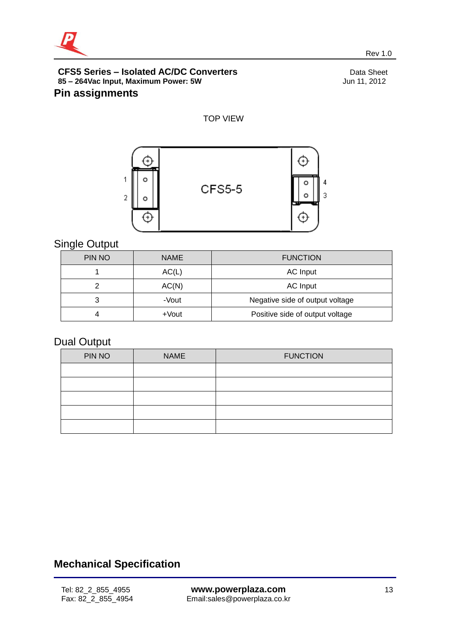

#### **CFS5 Series – Isolated AC/DC Converters** Data Sheet **85 – 264Vac Input, Maximum Power: 5W** Jun 11, 2012 **Pin assignments**

#### TOP VIEW



## Single Output

| ີ      |             |                                 |
|--------|-------------|---------------------------------|
| PIN NO | <b>NAME</b> | <b>FUNCTION</b>                 |
|        | AC(L)       | AC Input                        |
|        | AC(N)       | AC Input                        |
| 3      | -Vout       | Negative side of output voltage |
|        | +Vout       | Positive side of output voltage |

## Dual Output

| PIN NO | <b>NAME</b> | <b>FUNCTION</b> |
|--------|-------------|-----------------|
|        |             |                 |
|        |             |                 |
|        |             |                 |
|        |             |                 |
|        |             |                 |

# **Mechanical Specification**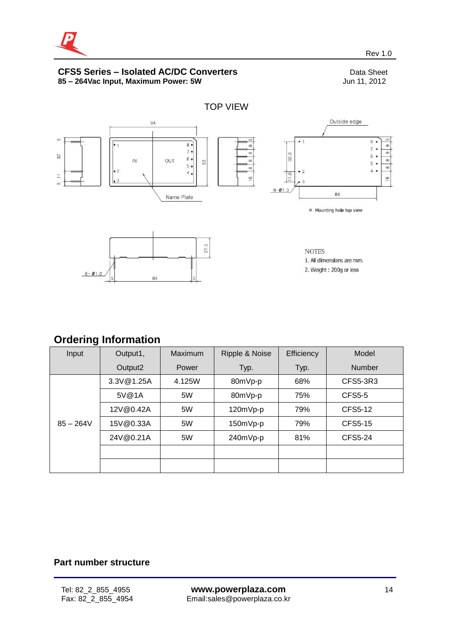

#### **CFS5 Series – Isolated AC/DC Converters**<br>
85 – 264Vac Input, Maximum Power: 5W<br>
Jun 11, 2012 **85 - 264Vac Input, Maximum Power: 5W**



## **Ordering Information**

| -<br>Input  | Output1,   | Maximum | Ripple & Noise | Efficiency | Model          |
|-------------|------------|---------|----------------|------------|----------------|
|             | Output2    | Power   | Typ.           | Typ.       | <b>Number</b>  |
|             | 3.3V@1.25A | 4.125W  | 80mVp-p        | 68%        | CFS5-3R3       |
|             | 5V@1A      | 5W      | 80mVp-p        | 75%        | <b>CFS5-5</b>  |
|             | 12V@0.42A  | 5W      | 120mVp-p       | 79%        | CFS5-12        |
| $85 - 264V$ | 15V@0.33A  | 5W      | 150mVp-p       | 79%        | <b>CFS5-15</b> |
|             | 24V@0.21A  | 5W      | 240mVp-p       | 81%        | <b>CFS5-24</b> |
|             |            |         |                |            |                |
|             |            |         |                |            |                |

#### **Part number structure**